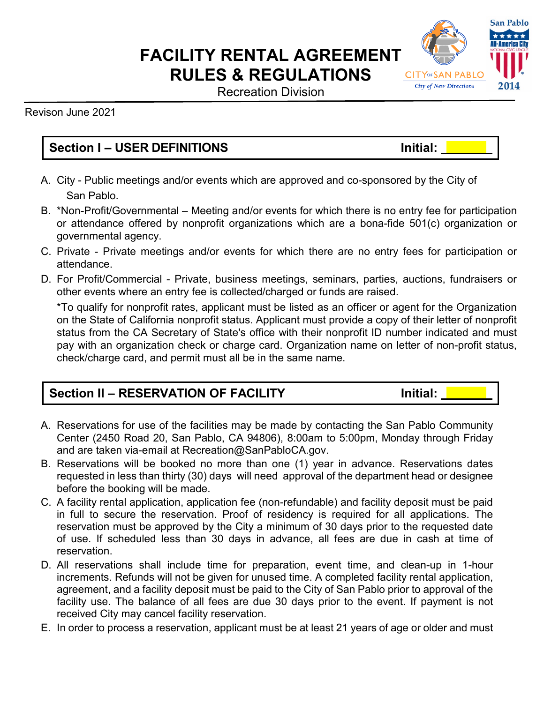# **FACILITY RENTAL AGREEMENT RULES & REGULATIONS**

Recreation Division

Revison June 2021

## **Section I – USER DEFINITIONS Initial:**

- A. City Public meetings and/or events which are approved and co-sponsored by the City of San Pablo.
- B. \*Non-Profit/Governmental Meeting and/or events for which there is no entry fee for participation or attendance offered by nonprofit organizations which are a bona-fide 501(c) organization or governmental agency.
- C. Private Private meetings and/or events for which there are no entry fees for participation or attendance.
- D. For Profit/Commercial Private, business meetings, seminars, parties, auctions, fundraisers or other events where an entry fee is collected/charged or funds are raised.

\*To qualify for nonprofit rates, applicant must be listed as an officer or agent for the Organization on the State of California nonprofit status. Applicant must provide a copy of their letter of nonprofit status from the CA Secretary of State's office with their nonprofit ID number indicated and must pay with an organization check or charge card. Organization name on letter of non-profit status, check/charge card, and permit must all be in the same name.

#### **Section II – RESERVATION OF FACILITY Initial:**

- A. Reservations for use of the facilities may be made by contacting the San Pablo Community Center (2450 Road 20, San Pablo, CA 94806), 8:00am to 5:00pm, Monday through Friday and are taken via-email at Recreation@SanPabloCA.gov.
- B. Reservations will be booked no more than one (1) year in advance. Reservations dates requested in less than thirty (30) days will need approval of the department head or designee before the booking will be made.
- C. A facility rental application, application fee (non-refundable) and facility deposit must be paid in full to secure the reservation. Proof of residency is required for all applications. The reservation must be approved by the City a minimum of 30 days prior to the requested date of use. If scheduled less than 30 days in advance, all fees are due in cash at time of reservation.
- D. All reservations shall include time for preparation, event time, and clean-up in 1-hour increments. Refunds will not be given for unused time. A completed facility rental application, agreement, and a facility deposit must be paid to the City of San Pablo prior to approval of the facility use. The balance of all fees are due 30 days prior to the event. If payment is not received City may cancel facility reservation.
- E. In order to process a reservation, applicant must be at least 21 years of age or older and must

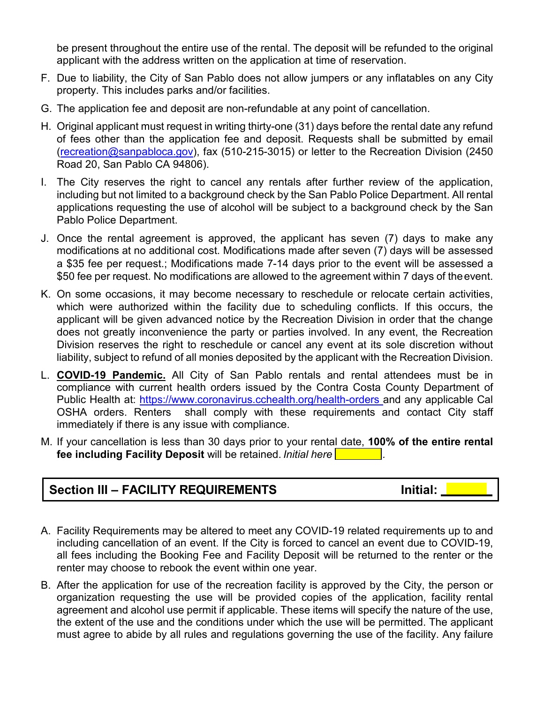be present throughout the entire use of the rental. The deposit will be refunded to the original applicant with the address written on the application at time of reservation.

- F. Due to liability, the City of San Pablo does not allow jumpers or any inflatables on any City property. This includes parks and/or facilities.
- G. The application fee and deposit are non-refundable at any point of cancellation.
- H. Original applicant must request in writing thirty-one (31) days before the rental date any refund of fees other than the application fee and deposit. Requests shall be submitted by email [\(recreation@sanpabloca.gov\)](mailto:recreation@sanpabloca.gov), fax (510-215-3015) or letter to the Recreation Division (2450 Road 20, San Pablo CA 94806).
- I. The City reserves the right to cancel any rentals after further review of the application, including but not limited to a background check by the San Pablo Police Department. All rental applications requesting the use of alcohol will be subject to a background check by the San Pablo Police Department.
- J. Once the rental agreement is approved, the applicant has seven (7) days to make any modifications at no additional cost. Modifications made after seven (7) days will be assessed a \$35 fee per request.; Modifications made 7-14 days prior to the event will be assessed a \$50 fee per request. No modifications are allowed to the agreement within 7 days of theevent.
- K. On some occasions, it may become necessary to reschedule or relocate certain activities, which were authorized within the facility due to scheduling conflicts. If this occurs, the applicant will be given advanced notice by the Recreation Division in order that the change does not greatly inconvenience the party or parties involved. In any event, the Recreation Division reserves the right to reschedule or cancel any event at its sole discretion without liability, subject to refund of all monies deposited by the applicant with the Recreation Division.
- L. **COVID-19 Pandemic.** All City of San Pablo rentals and rental attendees must be in compliance with current health orders issued by the Contra Costa County Department of Public Health at: <https://www.coronavirus.cchealth.org/health-orders> and any applicable Cal OSHA orders. Renters shall comply with these requirements and contact City staff immediately if there is any issue with compliance.
- M. If your cancellation is less than 30 days prior to your rental date, **100% of the entire rental fee including Facility Deposit** will be retained. *Initial here .*

#### **Section III – FACILITY REQUIREMENTS Initial:**

- A. Facility Requirements may be altered to meet any COVID-19 related requirements up to and including cancellation of an event. If the City is forced to cancel an event due to COVID-19, all fees including the Booking Fee and Facility Deposit will be returned to the renter or the renter may choose to rebook the event within one year.
- B. After the application for use of the recreation facility is approved by the City, the person or organization requesting the use will be provided copies of the application, facility rental agreement and alcohol use permit if applicable. These items will specify the nature of the use, the extent of the use and the conditions under which the use will be permitted. The applicant must agree to abide by all rules and regulations governing the use of the facility. Any failure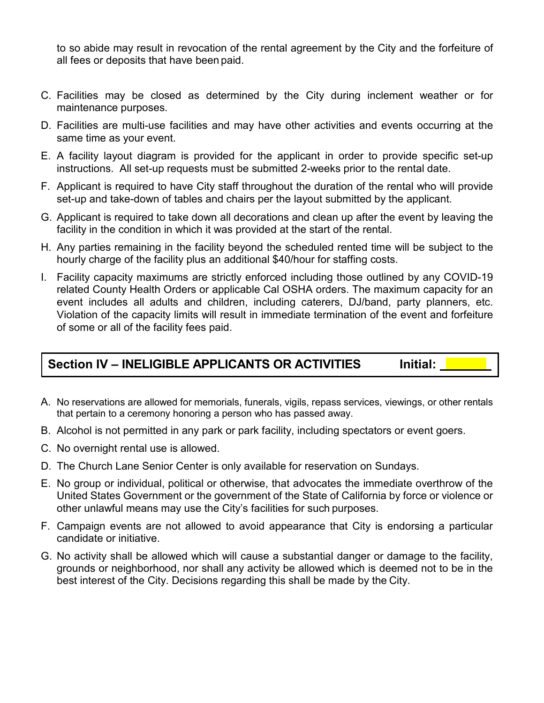to so abide may result in revocation of the rental agreement by the City and the forfeiture of all fees or deposits that have been paid.

- C. Facilities may be closed as determined by the City during inclement weather or for maintenance purposes.
- D. Facilities are multi-use facilities and may have other activities and events occurring at the same time as your event.
- E. A facility layout diagram is provided for the applicant in order to provide specific set-up instructions. All set-up requests must be submitted 2-weeks prior to the rental date.
- F. Applicant is required to have City staff throughout the duration of the rental who will provide set-up and take-down of tables and chairs per the layout submitted by the applicant.
- G. Applicant is required to take down all decorations and clean up after the event by leaving the facility in the condition in which it was provided at the start of the rental.
- H. Any parties remaining in the facility beyond the scheduled rented time will be subject to the hourly charge of the facility plus an additional \$40/hour for staffing costs.
- I. Facility capacity maximums are strictly enforced including those outlined by any COVID-19 related County Health Orders or applicable Cal OSHA orders. The maximum capacity for an event includes all adults and children, including caterers, DJ/band, party planners, etc. Violation of the capacity limits will result in immediate termination of the event and forfeiture of some or all of the facility fees paid.

#### **Section IV – INELIGIBLE APPLICANTS OR ACTIVITIES Initial:**

- A. No reservations are allowed for memorials, funerals, vigils, repass services, viewings, or other rentals that pertain to a ceremony honoring a person who has passed away.
- B. Alcohol is not permitted in any park or park facility, including spectators or event goers.
- C. No overnight rental use is allowed.
- D. The Church Lane Senior Center is only available for reservation on Sundays.
- E. No group or individual, political or otherwise, that advocates the immediate overthrow of the United States Government or the government of the State of California by force or violence or other unlawful means may use the City's facilities for such purposes.
- F. Campaign events are not allowed to avoid appearance that City is endorsing a particular candidate or initiative.
- G. No activity shall be allowed which will cause a substantial danger or damage to the facility, grounds or neighborhood, nor shall any activity be allowed which is deemed not to be in the best interest of the City. Decisions regarding this shall be made by the City.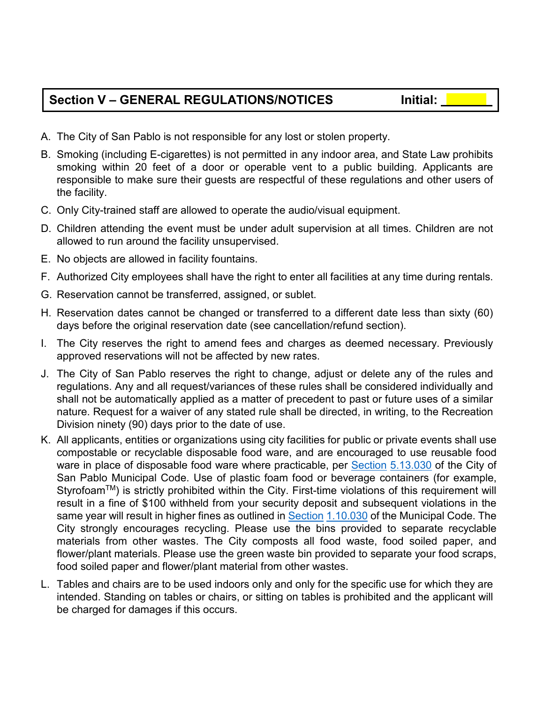### **Section V – GENERAL REGULATIONS/NOTICES Initial:**

- A. The City of San Pablo is not responsible for any lost or stolen property.
- B. Smoking (including E-cigarettes) is not permitted in any indoor area, and State Law prohibits smoking within 20 feet of a door or operable vent to a public building. Applicants are responsible to make sure their guests are respectful of these regulations and other users of the facility.
- C. Only City-trained staff are allowed to operate the audio/visual equipment.
- D. Children attending the event must be under adult supervision at all times. Children are not allowed to run around the facility unsupervised.
- E. No objects are allowed in facility fountains.
- F. Authorized City employees shall have the right to enter all facilities at any time during rentals.
- G. Reservation cannot be transferred, assigned, or sublet.
- H. Reservation dates cannot be changed or transferred to a different date less than sixty (60) days before the original reservation date (see cancellation/refund section).
- I. The City reserves the right to amend fees and charges as deemed necessary. Previously approved reservations will not be affected by new rates.
- J. The City of San Pablo reserves the right to change, adjust or delete any of the rules and regulations. Any and all request/variances of these rules shall be considered individually and shall not be automatically applied as a matter of precedent to past or future uses of a similar nature. Request for a waiver of any stated rule shall be directed, in writing, to the Recreation Division ninety (90) days prior to the date of use.
- K. All applicants, entities or organizations using city facilities for public or private events shall use compostable or recyclable disposable food ware, and are encouraged to use reusable food ware in place of disposable food ware where practicable, per [Section](http://www.codepublishing.com/ca/sanpablo/) [5.13.030](http://www.codepublishing.com/ca/sanpablo/) of the City of San Pablo Municipal Code. Use of plastic foam food or beverage containers (for example, Styrofoam™) is strictly prohibited within the City. First-time violations of this requirement will result in a fine of \$100 withheld from your security deposit and subsequent violations in the same year will result in higher fines as outlined in [Section](http://www.codepublishing.com/ca/sanpablo/) [1.10.030](http://www.codepublishing.com/ca/sanpablo/) of the Municipal Code. The City strongly encourages recycling. Please use the bins provided to separate recyclable materials from other wastes. The City composts all food waste, food soiled paper, and flower/plant materials. Please use the green waste bin provided to separate your food scraps, food soiled paper and flower/plant material from other wastes.
- L. Tables and chairs are to be used indoors only and only for the specific use for which they are intended. Standing on tables or chairs, or sitting on tables is prohibited and the applicant will be charged for damages if this occurs.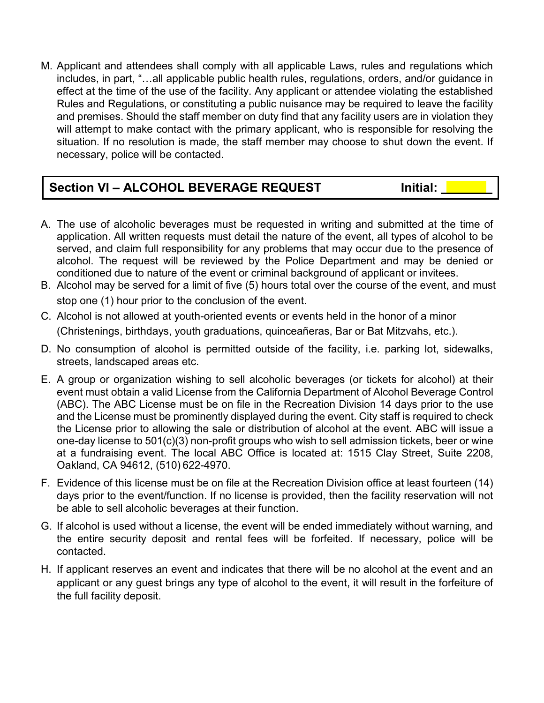M. Applicant and attendees shall comply with all applicable Laws, rules and regulations which includes, in part, "…all applicable public health rules, regulations, orders, and/or guidance in effect at the time of the use of the facility. Any applicant or attendee violating the established Rules and Regulations, or constituting a public nuisance may be required to leave the facility and premises. Should the staff member on duty find that any facility users are in violation they will attempt to make contact with the primary applicant, who is responsible for resolving the situation. If no resolution is made, the staff member may choose to shut down the event. If necessary, police will be contacted.

#### **Section VI – ALCOHOL BEVERAGE REQUEST The limitial:**

- A. The use of alcoholic beverages must be requested in writing and submitted at the time of application. All written requests must detail the nature of the event, all types of alcohol to be served, and claim full responsibility for any problems that may occur due to the presence of alcohol. The request will be reviewed by the Police Department and may be denied or conditioned due to nature of the event or criminal background of applicant or invitees.
- B. Alcohol may be served for a limit of five (5) hours total over the course of the event, and must stop one (1) hour prior to the conclusion of the event.
- C. Alcohol is not allowed at youth-oriented events or events held in the honor of a minor (Christenings, birthdays, youth graduations, quinceañeras, Bar or Bat Mitzvahs, etc.).
- D. No consumption of alcohol is permitted outside of the facility, i.e. parking lot, sidewalks, streets, landscaped areas etc.
- E. A group or organization wishing to sell alcoholic beverages (or tickets for alcohol) at their event must obtain a valid License from the California Department of Alcohol Beverage Control (ABC). The ABC License must be on file in the Recreation Division 14 days prior to the use and the License must be prominently displayed during the event. City staff is required to check the License prior to allowing the sale or distribution of alcohol at the event. ABC will issue a one-day license to 501(c)(3) non-profit groups who wish to sell admission tickets, beer or wine at a fundraising event. The local ABC Office is located at: 1515 Clay Street, Suite 2208, Oakland, CA 94612, (510) 622-4970.
- F. Evidence of this license must be on file at the Recreation Division office at least fourteen (14) days prior to the event/function. If no license is provided, then the facility reservation will not be able to sell alcoholic beverages at their function.
- G. If alcohol is used without a license, the event will be ended immediately without warning, and the entire security deposit and rental fees will be forfeited. If necessary, police will be contacted.
- H. If applicant reserves an event and indicates that there will be no alcohol at the event and an applicant or any guest brings any type of alcohol to the event, it will result in the forfeiture of the full facility deposit.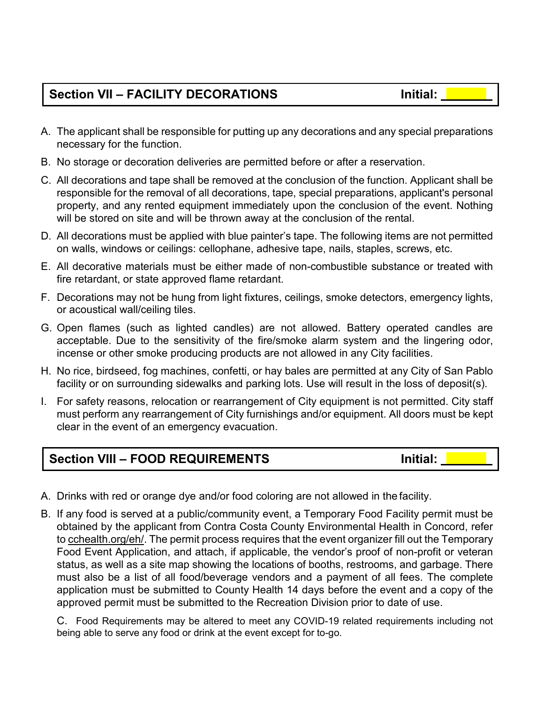# **Section VII – FACILITY DECORATIONS Initial:**

- 
- A. The applicant shall be responsible for putting up any decorations and any special preparations necessary for the function.
- B. No storage or decoration deliveries are permitted before or after a reservation.
- C. All decorations and tape shall be removed at the conclusion of the function. Applicant shall be responsible for the removal of all decorations, tape, special preparations, applicant's personal property, and any rented equipment immediately upon the conclusion of the event. Nothing will be stored on site and will be thrown away at the conclusion of the rental.
- D. All decorations must be applied with blue painter's tape. The following items are not permitted on walls, windows or ceilings: cellophane, adhesive tape, nails, staples, screws, etc.
- E. All decorative materials must be either made of non-combustible substance or treated with fire retardant, or state approved flame retardant.
- F. Decorations may not be hung from light fixtures, ceilings, smoke detectors, emergency lights, or acoustical wall/ceiling tiles.
- G. Open flames (such as lighted candles) are not allowed. Battery operated candles are acceptable. Due to the sensitivity of the fire/smoke alarm system and the lingering odor, incense or other smoke producing products are not allowed in any City facilities.
- H. No rice, birdseed, fog machines, confetti, or hay bales are permitted at any City of San Pablo facility or on surrounding sidewalks and parking lots. Use will result in the loss of deposit(s).
- I. For safety reasons, relocation or rearrangement of City equipment is not permitted. City staff must perform any rearrangement of City furnishings and/or equipment. All doors must be kept clear in the event of an emergency evacuation.

#### **Section VIII – FOOD REQUIREMENTS Initial:**

- A. Drinks with red or orange dye and/or food coloring are not allowed in the facility.
- B. If any food is served at a public/community event, a Temporary Food Facility permit must be obtained by the applicant from Contra Costa County Environmental Health in Concord, refer to cchealth.org/eh/. The permit process requires that the event organizer fill out the Temporary Food Event Application, and attach, if applicable, the vendor's proof of non-profit or veteran status, as well as a site map showing the locations of booths, restrooms, and garbage. There must also be a list of all food/beverage vendors and a payment of all fees. The complete application must be submitted to County Health 14 days before the event and a copy of the approved permit must be submitted to the Recreation Division prior to date of use.

C. Food Requirements may be altered to meet any COVID-19 related requirements including not being able to serve any food or drink at the event except for to-go.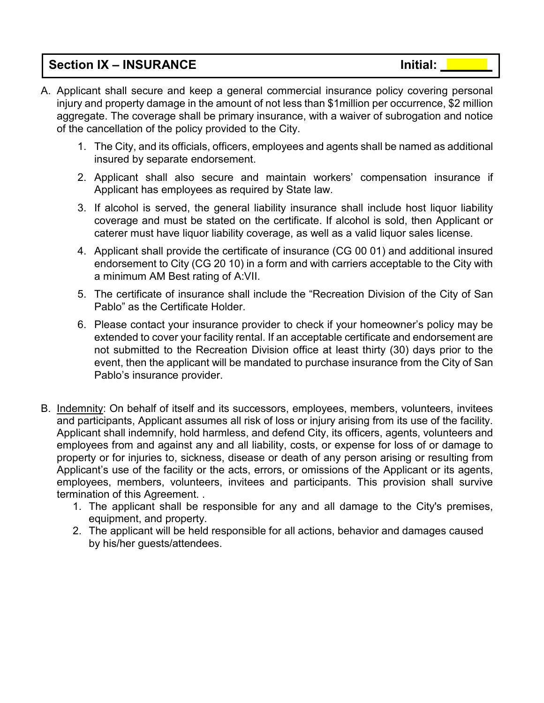#### **Section IX – INSURANCE Initial:**

- A. Applicant shall secure and keep a general commercial insurance policy covering personal injury and property damage in the amount of not less than \$1million per occurrence, \$2 million aggregate. The coverage shall be primary insurance, with a waiver of subrogation and notice of the cancellation of the policy provided to the City.
	- 1. The City, and its officials, officers, employees and agents shall be named as additional insured by separate endorsement.
	- 2. Applicant shall also secure and maintain workers' compensation insurance if Applicant has employees as required by State law.
	- 3. If alcohol is served, the general liability insurance shall include host liquor liability coverage and must be stated on the certificate. If alcohol is sold, then Applicant or caterer must have liquor liability coverage, as well as a valid liquor sales license.
	- 4. Applicant shall provide the certificate of insurance (CG 00 01) and additional insured endorsement to City (CG 20 10) in a form and with carriers acceptable to the City with a minimum AM Best rating of A:VII.
	- 5. The certificate of insurance shall include the "Recreation Division of the City of San Pablo" as the Certificate Holder.
	- 6. Please contact your insurance provider to check if your homeowner's policy may be extended to cover your facility rental. If an acceptable certificate and endorsement are not submitted to the Recreation Division office at least thirty (30) days prior to the event, then the applicant will be mandated to purchase insurance from the City of San Pablo's insurance provider.
- B. Indemnity: On behalf of itself and its successors, employees, members, volunteers, invitees and participants, Applicant assumes all risk of loss or injury arising from its use of the facility. Applicant shall indemnify, hold harmless, and defend City, its officers, agents, volunteers and employees from and against any and all liability, costs, or expense for loss of or damage to property or for injuries to, sickness, disease or death of any person arising or resulting from Applicant's use of the facility or the acts, errors, or omissions of the Applicant or its agents, employees, members, volunteers, invitees and participants. This provision shall survive termination of this Agreement. .
	- 1. The applicant shall be responsible for any and all damage to the City's premises, equipment, and property.
	- 2. The applicant will be held responsible for all actions, behavior and damages caused by his/her guests/attendees.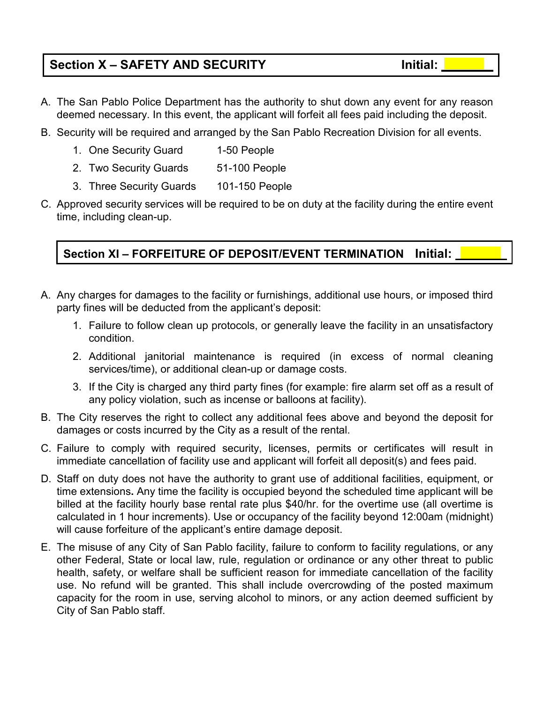# **Section X – SAFETY AND SECURITY Initial:**

- A. The San Pablo Police Department has the authority to shut down any event for any reason deemed necessary. In this event, the applicant will forfeit all fees paid including the deposit.
- B. Security will be required and arranged by the San Pablo Recreation Division for all events.
	- 1. One Security Guard 1-50 People
	- 2. Two Security Guards 51-100 People
	- 3. Three Security Guards 101-150 People
- C. Approved security services will be required to be on duty at the facility during the entire event time, including clean-up.

#### **Section XI – FORFEITURE OF DEPOSIT/EVENT TERMINATION Initial:**

- A. Any charges for damages to the facility or furnishings, additional use hours, or imposed third party fines will be deducted from the applicant's deposit:
	- 1. Failure to follow clean up protocols, or generally leave the facility in an unsatisfactory condition.
	- 2. Additional janitorial maintenance is required (in excess of normal cleaning services/time), or additional clean-up or damage costs.
	- 3. If the City is charged any third party fines (for example: fire alarm set off as a result of any policy violation, such as incense or balloons at facility).
- B. The City reserves the right to collect any additional fees above and beyond the deposit for damages or costs incurred by the City as a result of the rental.
- C. Failure to comply with required security, licenses, permits or certificates will result in immediate cancellation of facility use and applicant will forfeit all deposit(s) and fees paid.
- D. Staff on duty does not have the authority to grant use of additional facilities, equipment, or time extensions**.** Any time the facility is occupied beyond the scheduled time applicant will be billed at the facility hourly base rental rate plus \$40/hr. for the overtime use (all overtime is calculated in 1 hour increments). Use or occupancy of the facility beyond 12:00am (midnight) will cause forfeiture of the applicant's entire damage deposit.
- E. The misuse of any City of San Pablo facility, failure to conform to facility regulations, or any other Federal, State or local law, rule, regulation or ordinance or any other threat to public health, safety, or welfare shall be sufficient reason for immediate cancellation of the facility use. No refund will be granted. This shall include overcrowding of the posted maximum capacity for the room in use, serving alcohol to minors, or any action deemed sufficient by City of San Pablo staff.